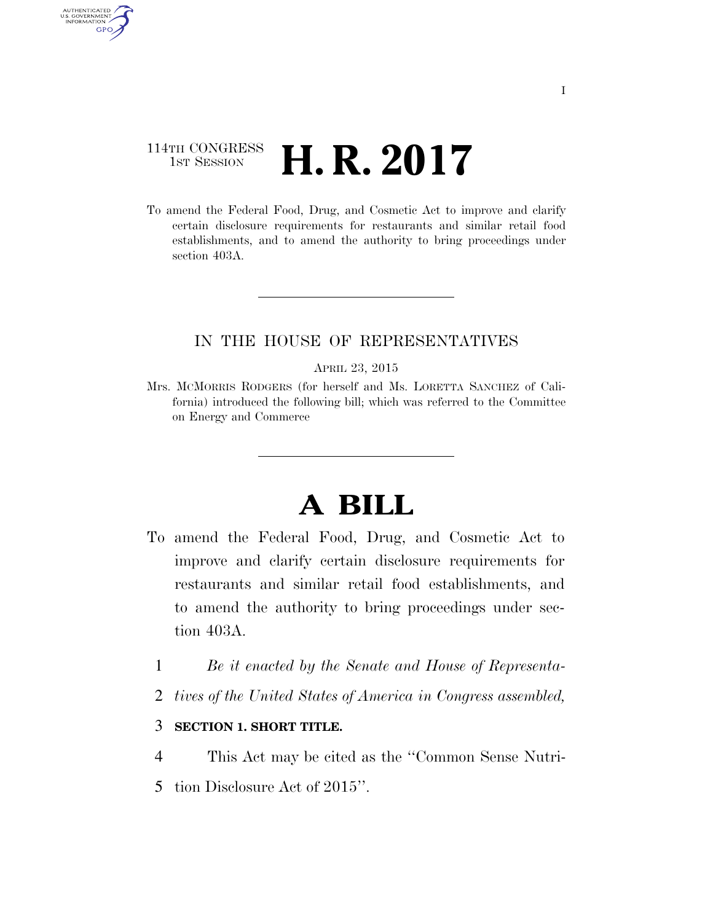# 114TH CONGRESS  $\frac{1}{151}$  Session **H. R. 2017**

AUTHENTICATED U.S. GOVERNMENT GPO

> To amend the Federal Food, Drug, and Cosmetic Act to improve and clarify certain disclosure requirements for restaurants and similar retail food establishments, and to amend the authority to bring proceedings under section 403A.

## IN THE HOUSE OF REPRESENTATIVES

#### APRIL 23, 2015

Mrs. MCMORRIS RODGERS (for herself and Ms. LORETTA SANCHEZ of California) introduced the following bill; which was referred to the Committee on Energy and Commerce

# **A BILL**

- To amend the Federal Food, Drug, and Cosmetic Act to improve and clarify certain disclosure requirements for restaurants and similar retail food establishments, and to amend the authority to bring proceedings under section 403A.
	- 1 *Be it enacted by the Senate and House of Representa-*
	- 2 *tives of the United States of America in Congress assembled,*

### 3 **SECTION 1. SHORT TITLE.**

- 4 This Act may be cited as the ''Common Sense Nutri-
- 5 tion Disclosure Act of 2015''.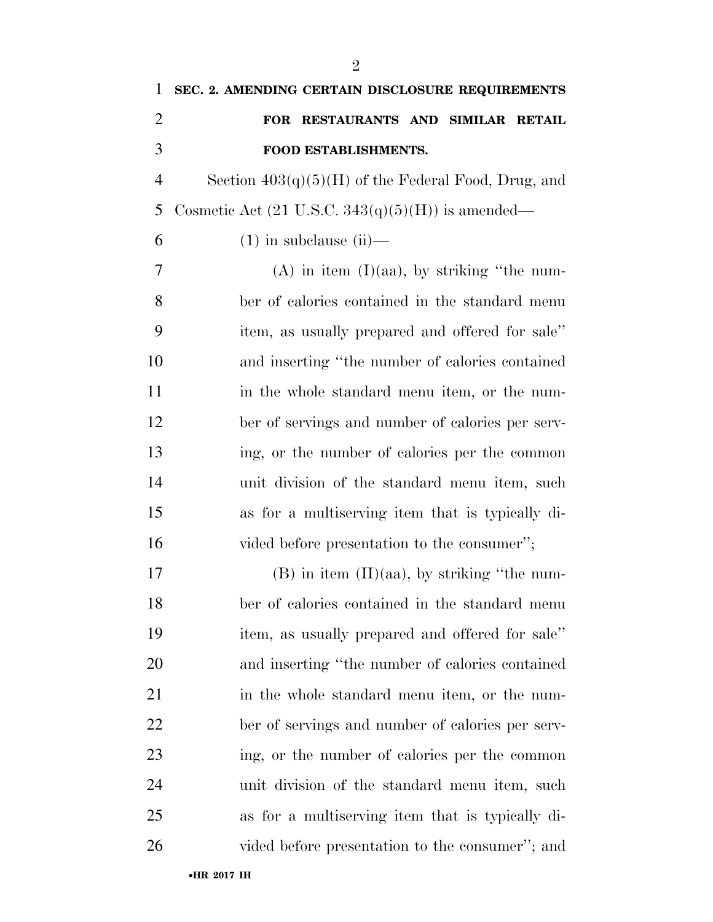| $\mathbf{1}$   | SEC. 2. AMENDING CERTAIN DISCLOSURE REQUIREMENTS             |
|----------------|--------------------------------------------------------------|
| $\overline{2}$ | FOR RESTAURANTS AND SIMILAR RETAIL                           |
| 3              | FOOD ESTABLISHMENTS.                                         |
| $\overline{4}$ | Section $403(q)(5)(H)$ of the Federal Food, Drug, and        |
| 5              | Cosmetic Act $(21 \text{ U.S.C. } 343(q)(5)(H))$ is amended— |
| 6              | $(1)$ in subclause $(ii)$ —                                  |
| 7              | $(A)$ in item $(I)(aa)$ , by striking "the num-              |
| 8              | ber of calories contained in the standard menu               |
| 9              | item, as usually prepared and offered for sale"              |
| 10             | and inserting "the number of calories contained              |
| 11             | in the whole standard menu item, or the num-                 |
| 12             | ber of servings and number of calories per serv-             |
| 13             | ing, or the number of calories per the common                |
| 14             | unit division of the standard menu item, such                |
| 15             | as for a multiserving item that is typically di-             |
| 16             | vided before presentation to the consumer";                  |
| 17             | $(B)$ in item $(II)(aa)$ , by striking "the num-             |
| 18             | ber of calories contained in the standard menu               |
| 19             | item, as usually prepared and offered for sale"              |
| 20             | and inserting "the number of calories contained              |
| 21             | in the whole standard menu item, or the num-                 |
| 22             | ber of servings and number of calories per serv-             |
| 23             | ing, or the number of calories per the common                |
| 24             | unit division of the standard menu item, such                |
| 25             | as for a multiserving item that is typically di-             |
| 26             | vided before presentation to the consumer"; and              |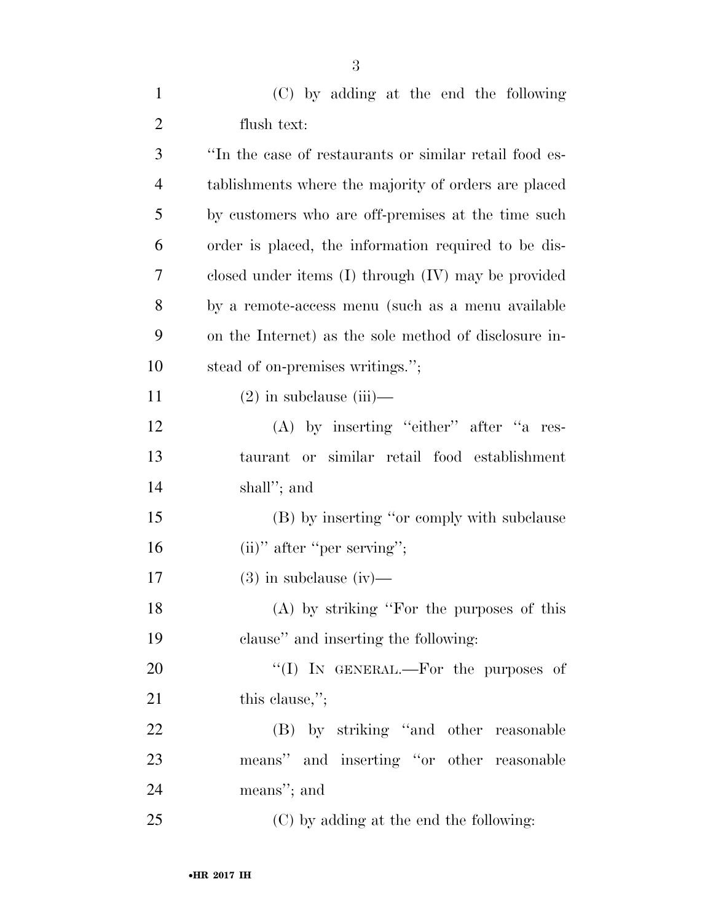| $\mathbf{1}$   | (C) by adding at the end the following                  |
|----------------|---------------------------------------------------------|
| $\overline{2}$ | flush text:                                             |
| 3              | "In the case of restaurants or similar retail food es-  |
| 4              | tablishments where the majority of orders are placed    |
| 5              | by customers who are off-premises at the time such      |
| 6              | order is placed, the information required to be dis-    |
| 7              | closed under items $(I)$ through $(IV)$ may be provided |
| 8              | by a remote-access menu (such as a menu available       |
| 9              | on the Internet) as the sole method of disclosure in-   |
| 10             | stead of on-premises writings.";                        |
| 11             | $(2)$ in subclause (iii)—                               |
| 12             | (A) by inserting "either" after "a res-                 |
| 13             | taurant or similar retail food establishment            |
| 14             | shall"; and                                             |
| 15             | (B) by inserting "or comply with subclause              |
| 16             | $(ii)$ " after "per serving";                           |
| 17             | $(3)$ in subclause (iv)—                                |
| 18             | $(A)$ by striking "For the purposes of this             |
| 19             | clause" and inserting the following:                    |
| 20             | "(I) IN GENERAL.—For the purposes of                    |
| 21             | this clause,";                                          |
| 22             | (B) by striking "and other reasonable                   |
| 23             | means" and inserting "or other reasonable               |
| 24             | means"; and                                             |
| 25             | (C) by adding at the end the following:                 |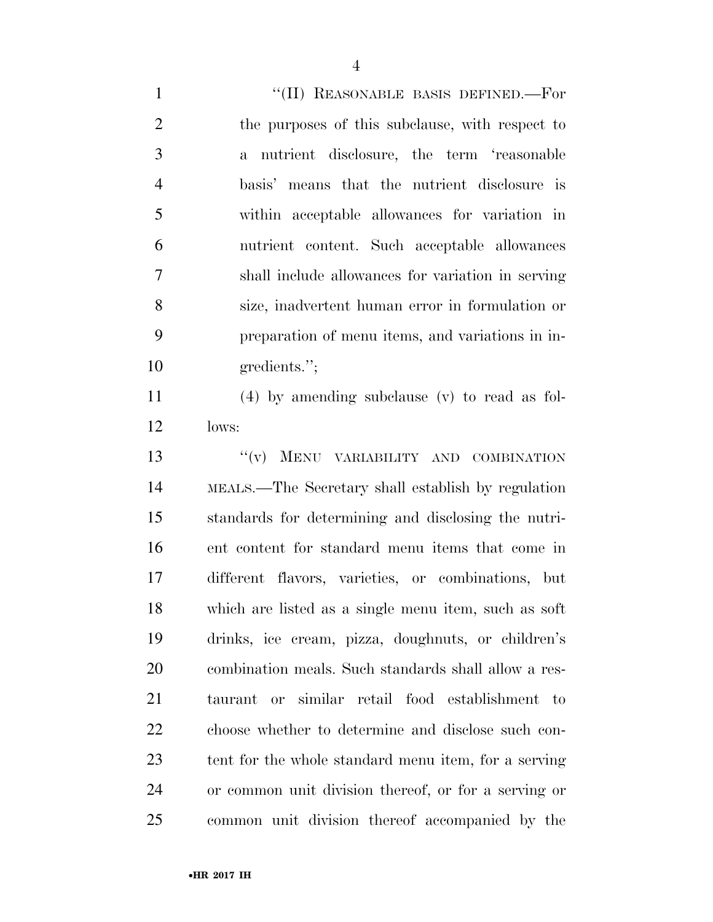1 "'(II) REASONABLE BASIS DEFINED.—For the purposes of this subclause, with respect to a nutrient disclosure, the term 'reasonable basis' means that the nutrient disclosure is within acceptable allowances for variation in nutrient content. Such acceptable allowances shall include allowances for variation in serving size, inadvertent human error in formulation or preparation of menu items, and variations in in-10 gredients."; (4) by amending subclause (v) to read as fol- lows: 13 "(v) MENU VARIABILITY AND COMBINATION MEALS.—The Secretary shall establish by regulation standards for determining and disclosing the nutri- ent content for standard menu items that come in different flavors, varieties, or combinations, but which are listed as a single menu item, such as soft drinks, ice cream, pizza, doughnuts, or children's combination meals. Such standards shall allow a res- taurant or similar retail food establishment to choose whether to determine and disclose such con- tent for the whole standard menu item, for a serving or common unit division thereof, or for a serving or common unit division thereof accompanied by the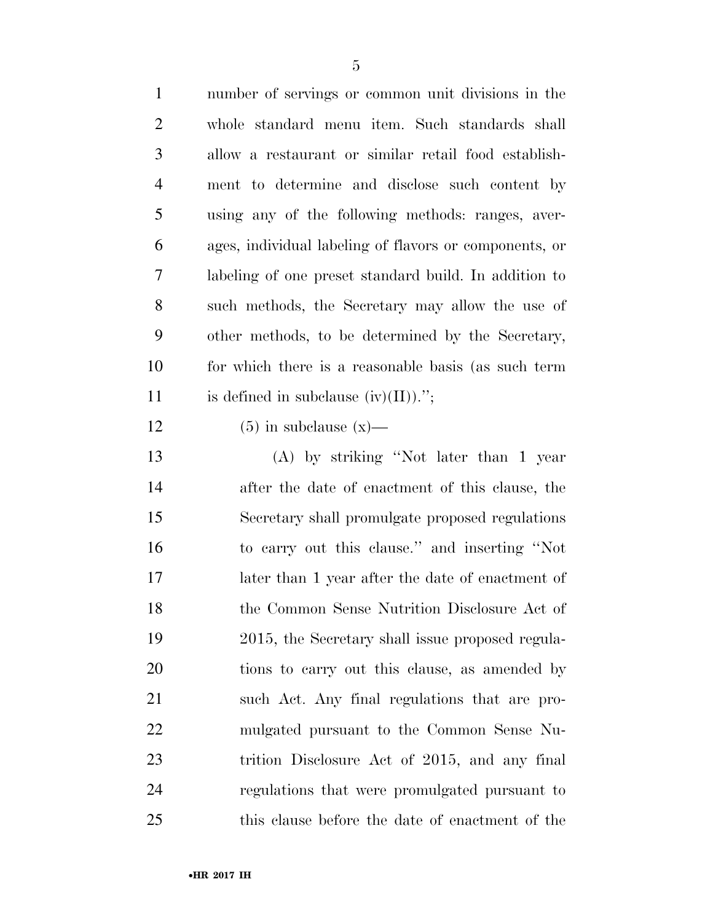number of servings or common unit divisions in the whole standard menu item. Such standards shall allow a restaurant or similar retail food establish- ment to determine and disclose such content by using any of the following methods: ranges, aver- ages, individual labeling of flavors or components, or labeling of one preset standard build. In addition to such methods, the Secretary may allow the use of other methods, to be determined by the Secretary, for which there is a reasonable basis (as such term 11 is defined in subclause  $(iv)(II)$ .";

12 (5) in subclause  $(x)$ —

 (A) by striking ''Not later than 1 year after the date of enactment of this clause, the Secretary shall promulgate proposed regulations to carry out this clause.'' and inserting ''Not later than 1 year after the date of enactment of the Common Sense Nutrition Disclosure Act of 2015, the Secretary shall issue proposed regula- tions to carry out this clause, as amended by such Act. Any final regulations that are pro- mulgated pursuant to the Common Sense Nu- trition Disclosure Act of 2015, and any final regulations that were promulgated pursuant to this clause before the date of enactment of the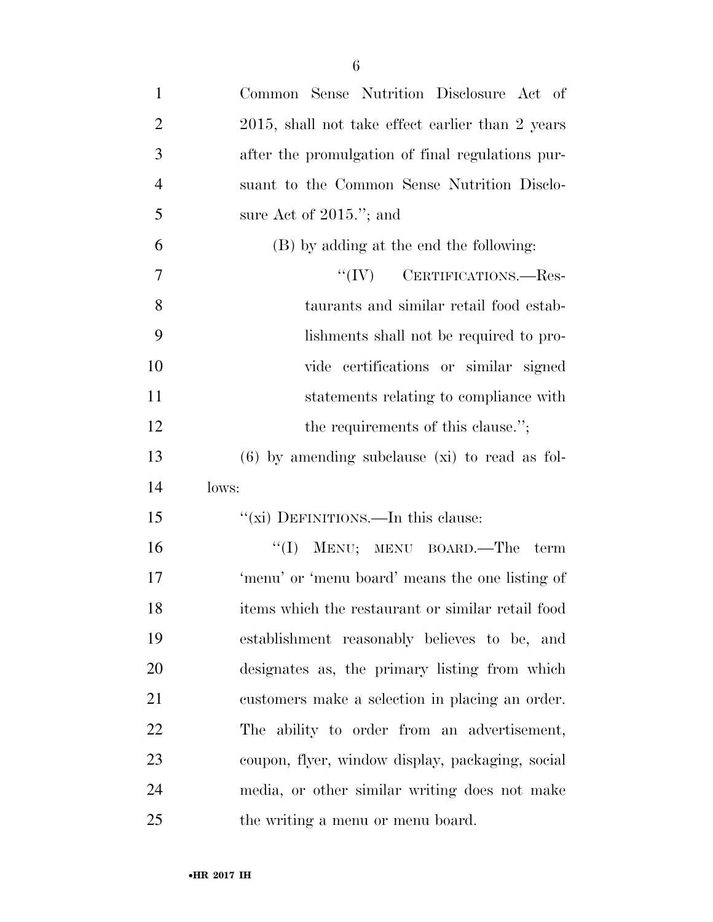| $\mathbf{1}$   | Common Sense Nutrition Disclosure Act of          |
|----------------|---------------------------------------------------|
| $\overline{2}$ | 2015, shall not take effect earlier than 2 years  |
| 3              | after the promulgation of final regulations pur-  |
| $\overline{4}$ | suant to the Common Sense Nutrition Disclo-       |
| 5              | sure Act of $2015$ ."; and                        |
| 6              | (B) by adding at the end the following:           |
| 7              | $``(IV)$ CERTIFICATIONS.—Res-                     |
| 8              | taurants and similar retail food estab-           |
| 9              | lishments shall not be required to pro-           |
| 10             | vide certifications or similar signed             |
| 11             | statements relating to compliance with            |
| 12             | the requirements of this clause.";                |
| 13             | $(6)$ by amending subclause (xi) to read as fol-  |
| 14             | lows:                                             |
| 15             | "(xi) DEFINITIONS.—In this clause:                |
| 16             | MENU; MENU BOARD.-The<br>``(I)<br>term            |
| 17             | 'menu' or 'menu board' means the one listing of   |
| 18             | items which the restaurant or similar retail food |
| 19             | establishment reasonably believes to be, and      |
| 20             | designates as, the primary listing from which     |
| 21             | customers make a selection in placing an order.   |
| 22             | The ability to order from an advertisement,       |
| 23             | coupon, flyer, window display, packaging, social  |
| 24             | media, or other similar writing does not make     |
| 25             | the writing a menu or menu board.                 |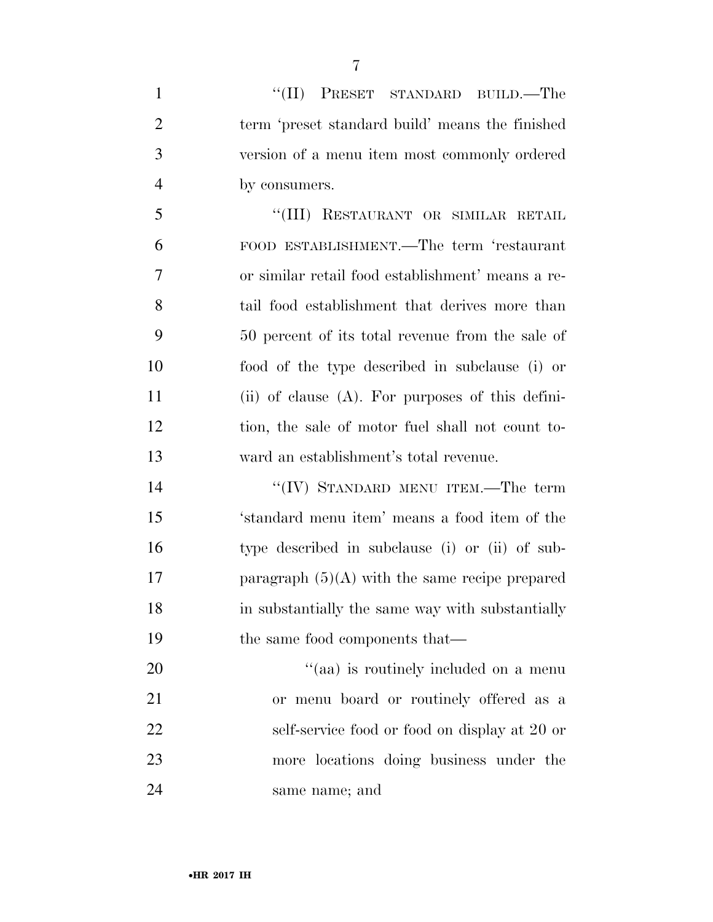| $\mathbf{1}$   | "(II) PRESET STANDARD BUILD.—The                    |
|----------------|-----------------------------------------------------|
| $\overline{2}$ | term 'preset standard build' means the finished     |
| 3              | version of a menu item most commonly ordered        |
| $\overline{4}$ | by consumers.                                       |
| 5              | "(III) RESTAURANT OR SIMILAR RETAIL                 |
| 6              | FOOD ESTABLISHMENT.—The term 'restaurant            |
| $\overline{7}$ | or similar retail food establishment' means a re-   |
| 8              | tail food establishment that derives more than      |
| 9              | 50 percent of its total revenue from the sale of    |
| 10             | food of the type described in subclause (i) or      |
| 11             | (ii) of clause $(A)$ . For purposes of this defini- |
| 12             | tion, the sale of motor fuel shall not count to-    |
| 13             | ward an establishment's total revenue.              |
| 14             | "(IV) STANDARD MENU ITEM.—The term                  |
| 15             | 'standard menu item' means a food item of the       |
| 16             | type described in subclause (i) or (ii) of sub-     |
| 17             | paragraph $(5)(A)$ with the same recipe prepared    |
| 18             | in substantially the same way with substantially    |
| 19             | the same food components that—                      |
| 20             | "(aa) is routinely included on a menu               |
| 21             | or menu board or routinely offered as a             |
| 22             | self-service food or food on display at 20 or       |
| 23             | more locations doing business under the             |
|                |                                                     |

same name; and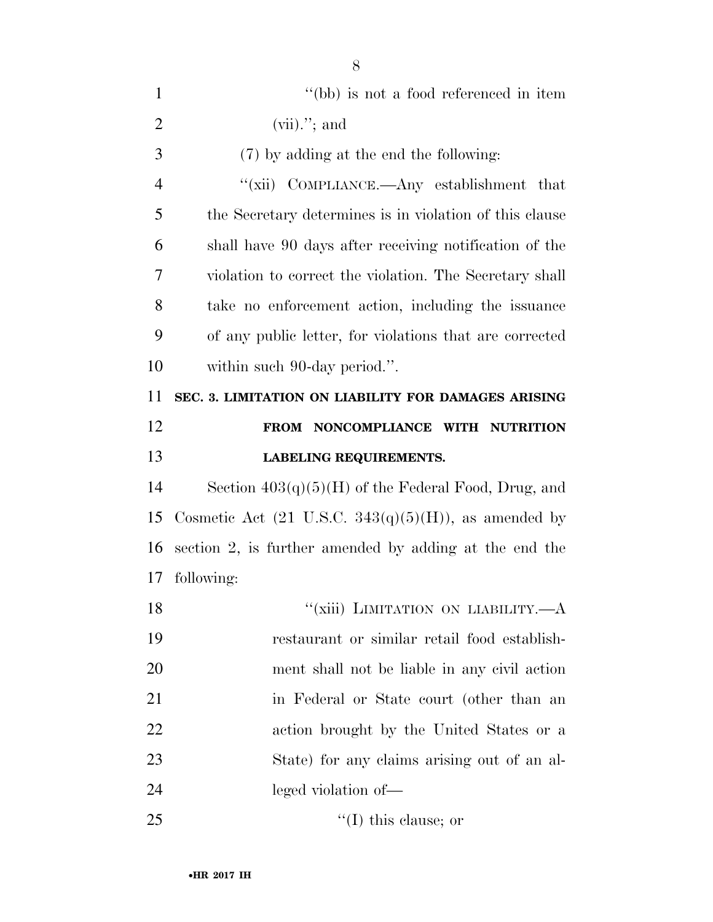| $\mathbf{1}$   | "(bb) is not a food referenced in item                           |
|----------------|------------------------------------------------------------------|
| $\overline{2}$ | $(vii)$ ."; and                                                  |
| 3              | (7) by adding at the end the following:                          |
| $\overline{4}$ | "(xii) COMPLIANCE.—Any establishment that                        |
| 5              | the Secretary determines is in violation of this clause          |
| 6              | shall have 90 days after receiving notification of the           |
| 7              | violation to correct the violation. The Secretary shall          |
| 8              | take no enforcement action, including the issuance               |
| 9              | of any public letter, for violations that are corrected          |
| 10             | within such 90-day period.".                                     |
| 11             | SEC. 3. LIMITATION ON LIABILITY FOR DAMAGES ARISING              |
| 12             | FROM NONCOMPLIANCE WITH NUTRITION                                |
| 13             | <b>LABELING REQUIREMENTS.</b>                                    |
|                |                                                                  |
| 14             | Section $403(q)(5)(H)$ of the Federal Food, Drug, and            |
| 15             | Cosmetic Act $(21 \text{ U.S.C. } 343(q)(5)(H))$ , as amended by |
| 16             | section 2, is further amended by adding at the end the           |
| 17             | following:                                                       |
| 18             | "(xiii) LIMITATION ON LIABILITY.—A                               |
| 19             | restaurant or similar retail food establish-                     |
| 20             | ment shall not be liable in any civil action                     |
| 21             | in Federal or State court (other than an                         |
| 22             | action brought by the United States or a                         |
| 23             | State) for any claims arising out of an al-                      |
| 24             | leged violation of—                                              |